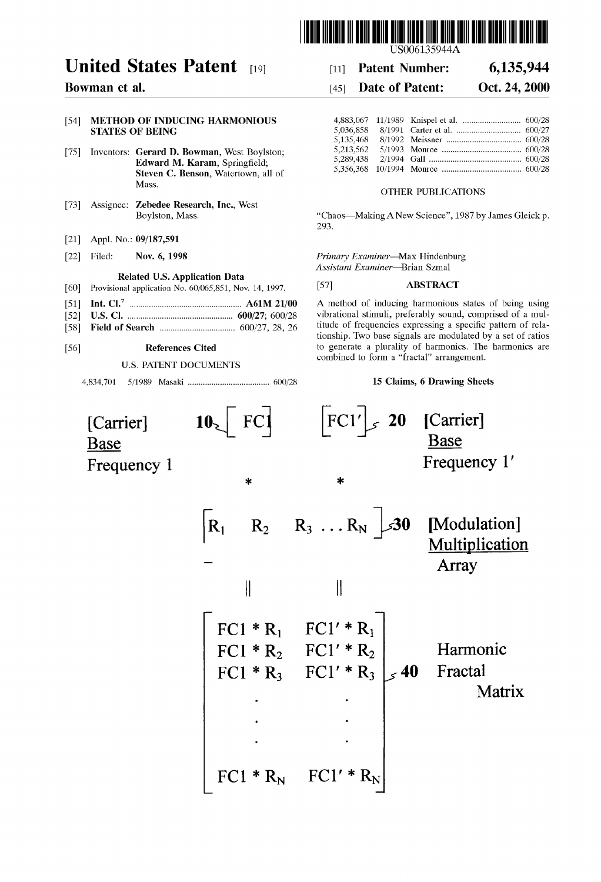

## United States Patent [19]

#### BOWman et al.

#### 54 **METHOD OF INDUCING HARMONIOUS** 4,883,067 11/1989 **STATES OF BEING**

- [75] Inventors: Gerard D. Bowman, West Boylston;<br>  $\frac{5,213,562}{5,289,438}$   $\frac{5/1993}{2/1994}$ Edward M. Karam, Springfield; Steven C. Benson, Watertown, all of Mass.
- [73] Assignee: Zebedee Research, Inc., West Boylston, Mass.
- [21] Appl. No.: 09/187,591
- [22] Filed: Nov. 6, 1998

#### Related U.S. Application Data

- [60] Provisional application No. 60/065,851, Nov. 14, 1997.  $[57]$
- $[51]$ Int. Cl. ............................................. A61M 21/00
- U.S. Cl. ................................................. 600/27; 600/28  $\lceil 52 \rceil$
- Field of Search ................................... 600/27, 28, 26

#### References Cited [56]

#### U.S. PATENT DOCUMENTS

4,834,701 5/1989 Masaki ...................................... 600/28

USOO6135944A

#### [11] Patent Number: 6,135,944

### [45] **Date of Patent:** Oct. 24, 2000

#### OTHER PUBLICATIONS

"Chaos-Making A New Science", 1987 by James Gleick p. 293.

Primary Examiner-Max Hindenburg Assistant Examiner-Brian Szmal

#### ABSTRACT

A method of inducing harmonious States of being using vibrational stimuli, preferably sound, comprised of a multitude of frequencies expressing a specific pattern of rela tionship. Two base signals are modulated by a set of ratios to generate a plurality of harmonics. The harmonics are combined to form a "fractal' arrangement.

#### 15 Claims, 6 Drawing Sheets

| [Carrier]<br><b>Base</b><br>Frequency 1 | $\ast$ | $10\sqrt{FC}$ $ FC1' $ $20$ [Carrier]<br>$\ast$                                                                                                                            | <b>Base</b><br>Frequency 1'                                                                                |
|-----------------------------------------|--------|----------------------------------------------------------------------------------------------------------------------------------------------------------------------------|------------------------------------------------------------------------------------------------------------|
|                                         |        | $\parallel$                                                                                                                                                                | $\begin{bmatrix} R_1 & R_2 & R_3 & \dots & R_N \end{bmatrix}$ = 30 [Modulation]<br>Multiplication<br>Array |
|                                         |        | FC1 * R <sub>1</sub> FC1' * R <sub>1</sub><br>FC1 * R <sub>2</sub> FC1' * R <sub>2</sub> Harmot<br>FC1 * R <sub>3</sub> FC1' * R <sub>3</sub> $\left  \int_{S}$ 40 Fractal | Harmonic<br>Matrix                                                                                         |
|                                         |        | $FC1 * R_N$ $FC1' * R_N$                                                                                                                                                   |                                                                                                            |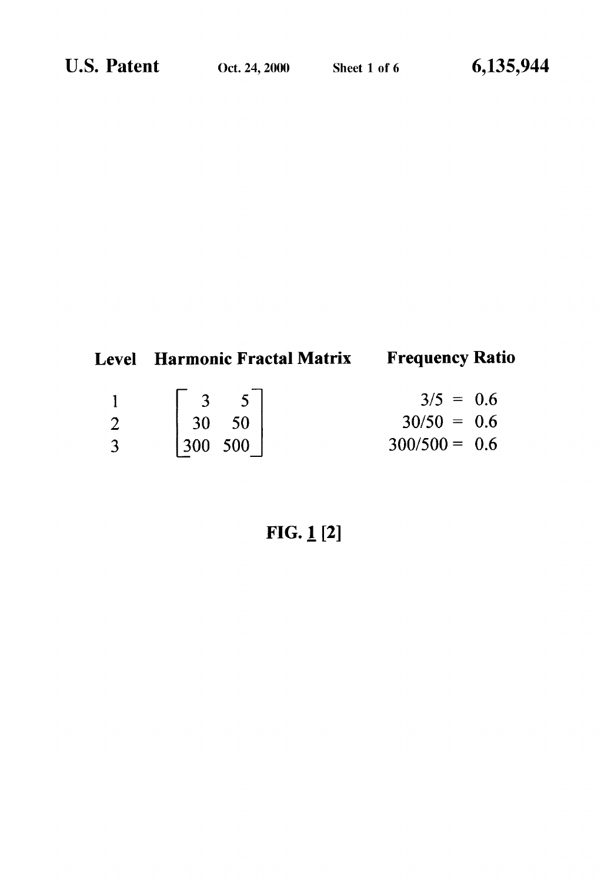# Level Harmonic Fractal Matrix Frequency Ratio

|                |           |      | $3/5 = 0.6$     |
|----------------|-----------|------|-----------------|
| $\overline{2}$ | <b>30</b> | - 50 | $30/50 = 0.6$   |
|                | 300, 500  |      | $300/500 = 0.6$ |

 $FIG. 1 [2]$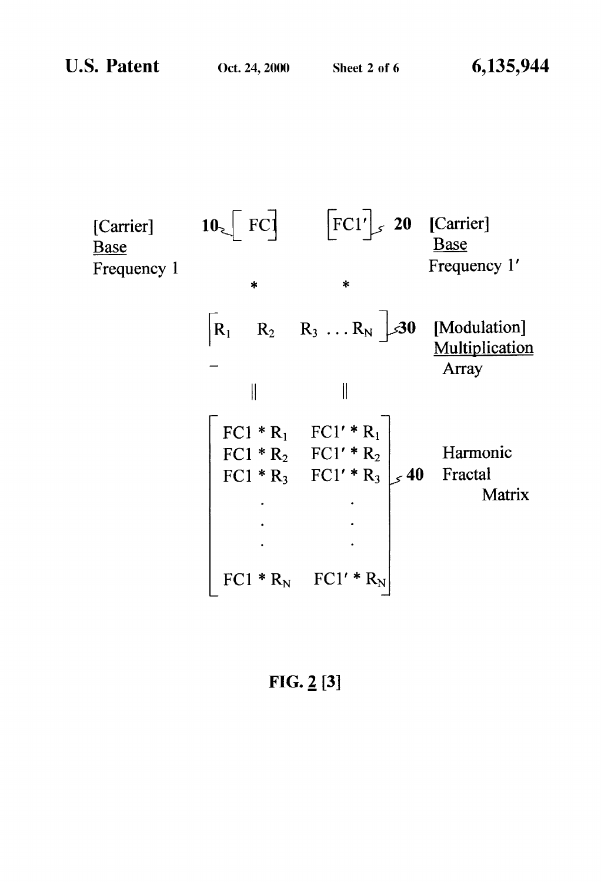

 $FIG. 2 [3]$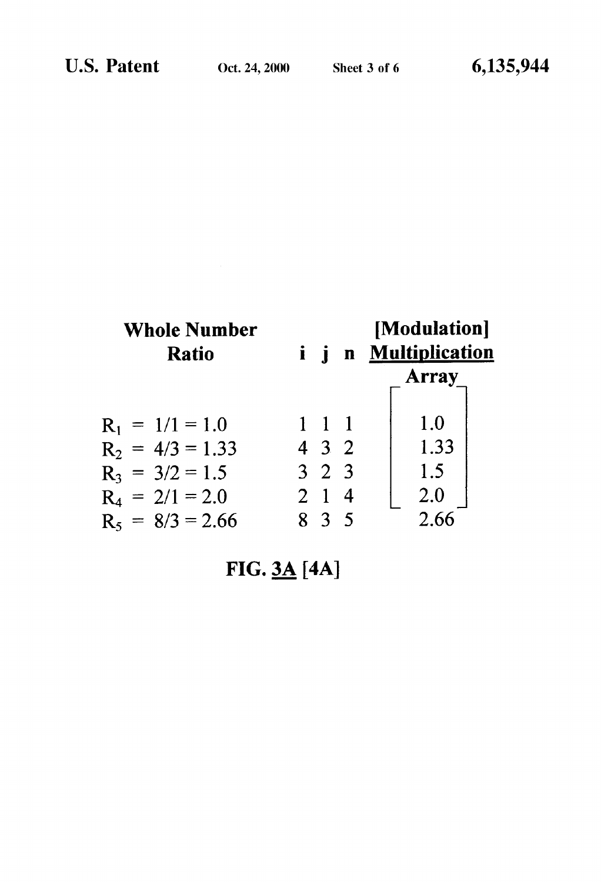| <b>Whole Number</b><br><b>Ratio</b> |                 | [Modulation]<br>i j n Multiplication<br><b>Array</b> |
|-------------------------------------|-----------------|------------------------------------------------------|
| $R_1 = 1/1 = 1.0$                   | $1\quad1\quad1$ | 1.0                                                  |
| $R_2 = 4/3 = 1.33$                  | $4 \t3 \t2$     | 1.33                                                 |
| $R_3 = 3/2 = 1.5$                   | 3 2 3           | 1.5                                                  |
| $R_4 = 2/1 = 2.0$                   | 2 1 4           | 2.0                                                  |
| $R_5 = 8/3 = 2.66$                  | 8 3 5           | 2.66                                                 |

FIG. 3A [4A]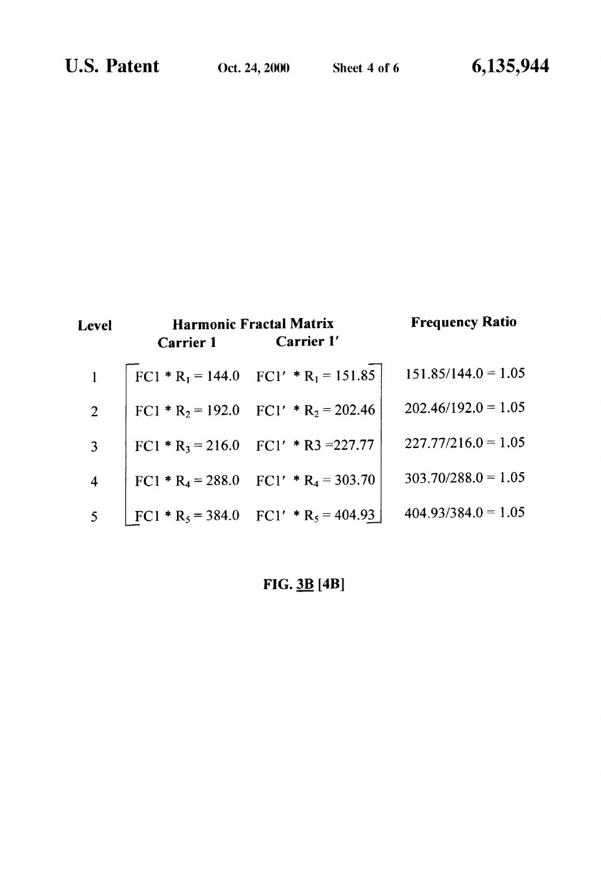| <b>Level</b>            | <b>Carrier 1</b> | <b>Harmonic Fractal Matrix</b><br><b>Carrier 1'</b>         | <b>Frequency Ratio</b> |
|-------------------------|------------------|-------------------------------------------------------------|------------------------|
|                         |                  | $FC1 * R_1 = 144.0$ $FC1' * R_1 = 151.85$                   | $151.85/144.0 = 1.05$  |
| $\overline{2}$          |                  | FC1 * R <sub>2</sub> = 192.0 FC1' * R <sub>2</sub> = 202.46 | $202.46/192.0 = 1.05$  |
| 3                       |                  | FC1 * R <sub>3</sub> = 216.0 FC1' * R3 = 227.77             | $227.77/216.0 = 1.05$  |
| $\overline{4}$          |                  | FC1 * R <sub>4</sub> = 288.0 FC1' * R <sub>4</sub> = 303.70 | $303.70/288.0 = 1.05$  |
| $\overline{\mathbf{S}}$ |                  | FC1 * R <sub>5</sub> = 384.0 FC1' * R <sub>5</sub> = 404.93 | $404.93/384.0 = 1.05$  |

 $FIG. 3B [4B]$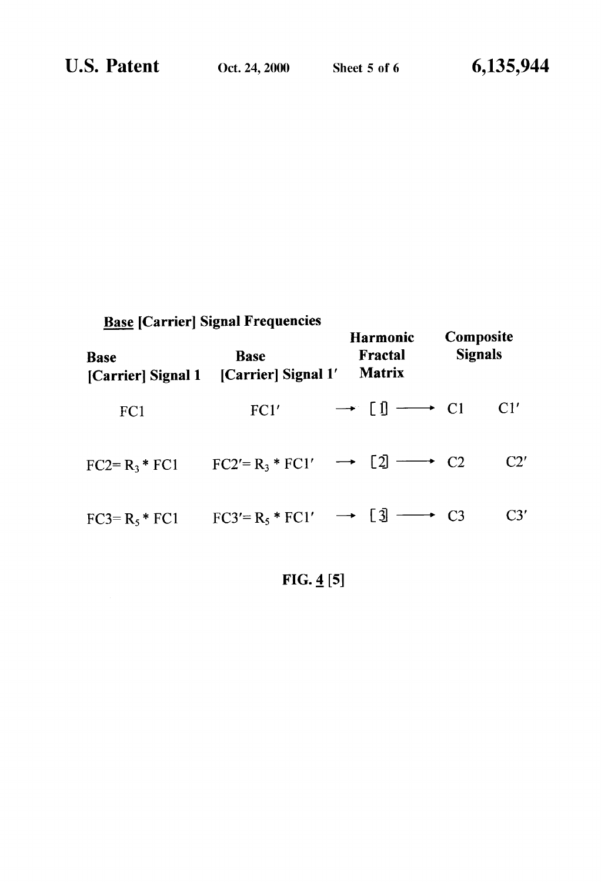| <b>Base [Carrier] Signal Frequencies</b><br>Composite<br><b>Harmonic</b> |                                                        |                                                                     |                |  |
|--------------------------------------------------------------------------|--------------------------------------------------------|---------------------------------------------------------------------|----------------|--|
| <b>Base</b>                                                              | <b>Base</b><br>[Carrier] Signal 1 [Carrier] Signal 1'  | Fractal<br><b>Matrix</b>                                            | <b>Signals</b> |  |
| FC1                                                                      | FC1'                                                   | $\rightarrow \left[ \quad \right] \rightarrow \left[ \quad \right]$ | Cl'            |  |
| $FC2 = R_3 * FC1$                                                        | $FC2' = R_3 * FC1' \rightarrow [2] \longrightarrow C2$ |                                                                     | C2'            |  |
| $FC3 = R_5 * FC1$                                                        | $FC3' = R_5 * FC1' \rightarrow [3 \longrightarrow C3$  |                                                                     | C3'            |  |

FIG.  $4[5]$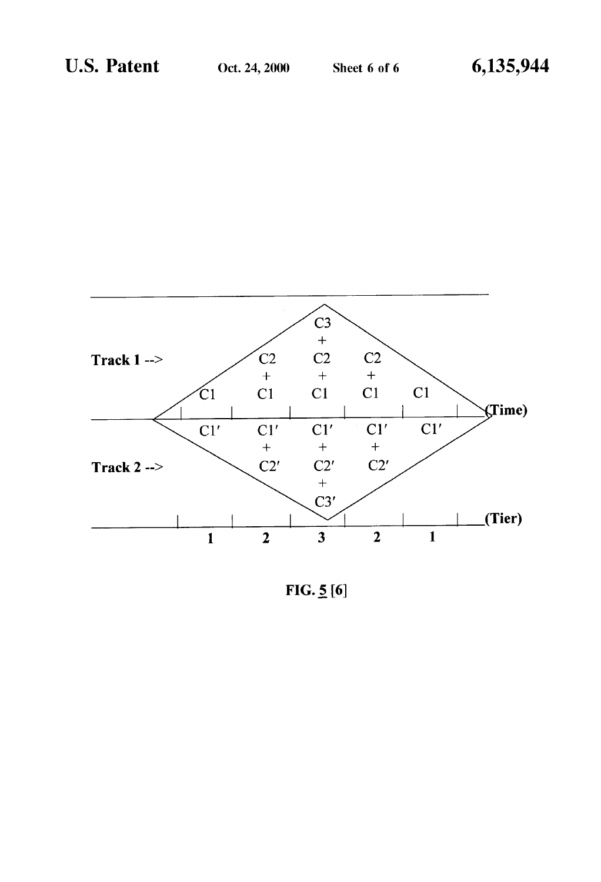

 $FIG. 5[6]$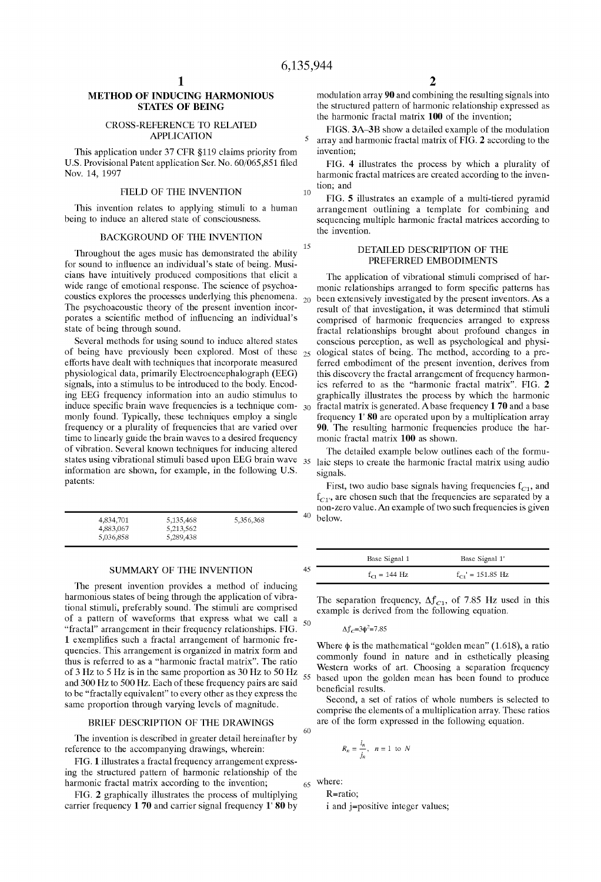5

 $10$ 

#### METHOD OF INDUCING HARMONIOUS STATES OF BEING

#### CROSS-REFERENCE TO RELATED APPLICATION

This application under 37 CFR S119 claims priority from U.S. Provisional Patent application Ser. No. 60/065,851 filed Nov. 14, 1997

#### FIELD OF THE INVENTION

This invention relates to applying stimuli to a human being to induce an altered State of consciousness.

#### BACKGROUND OF THE INVENTION

Throughout the ages music has demonstrated the ability for sound to influence an individual's state of being. Musi cians have intuitively produced compositions that elicit a coustics explores the processes underlying this phenomena.  $_{20}$ The psychoacoustic theory of the present invention incor porates a Scientific method of influencing an individual's state of being through sound.

Several methods for using sound to induce altered states of being have previously been explored. Most of these  $_{25}$ efforts have dealt with techniques that incorporate measured physiological data, primarily Electroencephalograph (EEG) signals, into a stimulus to be introduced to the body. Encoding EEG frequency information into an audio Stimulus to induce specific brain wave frequencies is a technique com- $_{30}$ monly found. Typically, these techniques employ a single frequency or a plurality of frequencies that are varied over time to linearly guide the brain waves to a desired frequency of vibration. Several known techniques for inducing altered states using vibrational stimuli based upon EEG brain wave information are shown, for example, in the following U.S. patents:

| 4,834,701 | 5, 135, 468 | 5,356,368 |  |
|-----------|-------------|-----------|--|
| 4,883,067 | 5.213.562   |           |  |
| 5.036.858 | 5.289.438   |           |  |

#### SUMMARY OF THE INVENTION

The present invention provides a method of inducing harmonious states of being through the application of vibrational stimuli, preferably sound. The stimuli are comprised of a pattern of waveforms that express what we call a "fractal' arrangement in their frequency relationships. FIG. 1 exemplifies Such a fractal arrangement of harmonic fre quencies. This arrangement is organized in matrix form and thus is referred to as a "harmonic fractal matrix'. The ratio of 3 Hz to 5 Hz is in the same proportion as 30 Hz to 50 Hz and 300 Hz to 500 Hz. Each of these frequency pairs are said to be "fractally equivalent" to every other as they express the same proportion through varying levels of magnitude. 50

#### BRIEF DESCRIPTION OF THE DRAWINGS

The invention is described in greater detail hereinafter by reference to the accompanying drawings, wherein:

FIG. 1 illustrates a fractal frequency arrangement express ing the Structured pattern of harmonic relationship of the harmonic fractal matrix according to the invention;

FIG. 2 graphically illustrates the process of multiplying carrier frequency 1 70 and carrier signal frequency 1'80 by

modulation array 90 and combining the resulting signals into the Structured pattern of harmonic relationship expressed as the harmonic fractal matrix 100 of the invention;

FIGS. 3A-3B show a detailed example of the modulation array and harmonic fractal matrix of FIG. 2 according to the invention;

FIG. 4 illustrates the process by which a plurality of harmonic fractal matrices are created according to the inven tion; and

FIG. 5 illustrates an example of a multi-tiered pyramid arrangement outlining a template for combining and sequencing multiple harmonic fractal matrices according to the invention.

15

40

45

55

60

#### DETAILED DESCRIPTION OF THE PREFERRED EMBODIMENTS

The application of vibrational stimuli comprised of harmonic relationships arranged to form specific patterns has been extensively investigated by the present inventors. AS a result of that investigation, it was determined that stimuli comprised of harmonic frequencies arranged to express fractal relationships brought about profound changes in conscious perception, as well as psychological and physiological states of being. The method, according to a preferred embodiment of the present invention, derives from this discovery the fractal arrangement of frequency harmon ics referred to as the "harmonic fractal matrix'. FIG. 2 graphically illustrates the process by which the harmonic fractal matrix is generated. Abase frequency 170 and a base frequency  $1' 80$  are operated upon by a multiplication array 90. The resulting harmonic frequencies produce the har monic fractal matrix 100 as shown.

35 laic Steps to create the harmonic fractal matrix using audio The detailed example below outlines each of the formu signals.

First, two audio base signals having frequencies  $f_{c1}$ , and  $f_{C1}$ , are chosen such that the frequencies are separated by a non-Zero value. An example of two Such frequencies is given below.

| Base Signal 1     | Base Signal 1'         |
|-------------------|------------------------|
| $f_{C1} = 144$ Hz | $f_{C1}$ ' = 151.85 Hz |

The separation frequency,  $\Delta f_{C1}$ , of 7.85 Hz used in this example is derived from the following equation.

$$
\Delta f_C = 3\phi^2 = 7.85
$$

Where  $\phi$  is the mathematical "golden mean" (1.618), a ratio commonly found in nature and in esthetically pleasing Western works of art. Choosing a separation frequency based upon the golden mean has been found to produce beneficial results.

Second, a set of ratios of whole numbers is selected to comprise the elements of a multiplication array. These ratios are of the form expressed in the following equation.

$$
R_n = \frac{i_n}{j_n}, \quad n = 1 \text{ to } N
$$

 $_{65}$  where:

R=ratio;

i and j=positive integer values,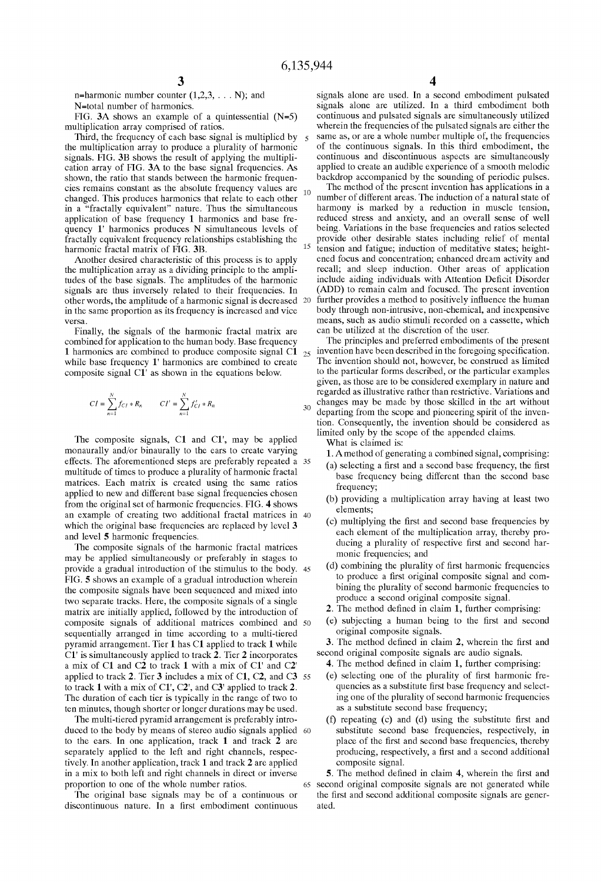$10$ 

25

n=harmonic number counter  $(1,2,3,..., N)$ ; and N=total number of harmonics.

FIG. 3A shows an example of a quintessential (N=5) multiplication array comprised of ratios.

Third, the frequency of each base signal is multiplied by  $5$  the multiplication array to produce a plurality of harmonic signals. FIG. 3B shows the result of applying the multiplication array of FIG. 3A to the base signal frequencies. As shown, the ratio that stands between the harmonic frequencies remains constant as the absolute frequency values are changed. This produces harmonics that relate to each other in a "fractally equivalent" nature. Thus the simultaneous application of base frequency 1 harmonics and base frequency 1' harmonics produces N simultaneous levels of fractally equivalent frequency relationships establishing the harmonic fractal matrix of FIG. 3B.<br>Another desired characteristic of this process is to apply

the multiplication array as a dividing principle to the amplitudes of the base signals. The amplitudes of the harmonic signals are thus inversely related to their frequencies. In other words, the amplitude of a harmonic signal is decreased 20 in the same proportion as its frequency is increased and vice versa.

Finally, the signals of the harmonic fractal matrix are combined for application to the human body. Base frequency 1 harmonics are combined to produce composite signal C1 while base frequency 1' harmonics are combined to create composite Signal C1" as shown in the equations below.

$$
CI = \sum_{n=1}^{N} f_{CI} * R_n \qquad CI' = \sum_{n=1}^{N} f'_{CI} * R_n
$$

The composite signals, C1 and C1', may be applied monaurally and/or binaurally to the ears to create varying effects. The aforementioned steps are preferably repeated a 35 multitude of times to produce a plurality of harmonic fractal matrices. Each matrix is created using the same ratios applied to new and different base signal frequencies chosen from the original set of harmonic frequencies. FIG. 4 shows an example of creating two additional fractal matrices in 40 which the original base frequencies are replaced by level 3 and level 5 harmonic frequencies.

The composite signals of the harmonic fractal matrices may be applied simultaneously or preferably in stages to provide a gradual introduction of the Stimulus to the body. 45 FIG. 5 shows an example of a gradual introduction wherein the composite Signals have been Sequenced and mixed into two separate tracks. Here, the composite signals of a single matrix are initially applied, followed by the introduction of composite Signals of additional matrices combined and 50 sequentially arranged in time according to a multi-tiered pyramid arrangement. Tier 1 has C1 applied to track 1 while C1' is simultaneously applied to track 2. Tier 2 incorporates a mix of C1 and C2 to track 1 with a mix of C1' and C2' applied to track 2. Tier  $\beta$  includes a mix of C1, C2, and C3 55 to track 1 with a mix of C1, C2', and C3" applied to track 2. The duration of each tier is typically in the range of two to ten minutes, though shorter or longer durations may be used.

The multi-tiered pyramid arrangement is preferably intro duced to the body by means of Stereo audio signals applied 60 to the ears. In one application, track 1 and track 2 are separately applied to the left and right channels, respectively. In another application, track 1 and track 2 are applied in a mix to both left and right channels in direct or inverse proportion to one of the whole number ratios.

The original base signals may be of a continuous or discontinuous nature. In a first embodiment continuous

Signals alone are used. In a Second embodiment pulsated Signals alone are utilized. In a third embodiment both continuous and pulsated Signals are simultaneously utilized wherein the frequencies of the pulsated signals are either the same as, or are a whole number multiple of, the frequencies of the continuous signals. In this third embodiment, the continuous and discontinuous aspects are simultaneously applied to create an audible experience of a smooth melodic backdrop accompanied by the Sounding of periodic pulses.

15 The method of the present invention has applications in a number of different areas. The induction of a natural state of harmony is marked by a reduction in muscle tension, reduced stress and anxiety, and an overall sense of well being. Variations in the base frequencies and ratios selected provide other desirable States including relief of mental tension and fatigue; induction of meditative states; heightened focus and concentration; enhanced dream activity and recall; and sleep induction. Other areas of application include aiding individuals with Attention Deficit Disorder (ADD) to remain calm and focused. The present invention further provides a method to positively influence the human body through non-intrusive, non-chemical, and inexpensive means, such as audio stimuli recorded on a cassette, which can be utilized at the discretion of the user.

The principles and preferred embodiments of the present invention have been described in the foregoing specification. The invention should not, however, be construed as limited to the particular forms described, or the particular examples given, as those are to be considered exemplary in nature and regarded as illustrative rather than restrictive. Variations and changes may be made by those skilled in the art without departing from the scope and pioneering spirit of the invention. Consequently, the invention should be considered as limited only by the scope of the appended claims.

What is claimed is:

- 1. A method of generating a combined Signal, comprising:
- (a) Selecting a first and a second base frequency, the first base frequency being different than the Second base frequency;
- (b) providing a multiplication array having at least two elements,
- (c) multiplying the first and Second base frequencies by each element of the multiplication array, thereby pro ducing a plurality of respective first and Second har monic frequencies, and
- (d) combining the plurality of first harmonic frequencies to produce a first original composite signal and combining the plurality of second harmonic frequencies to produce a second original composite signal.
- 2. The method defined in claim 1, further comprising:
- (e) Subjecting a human being to the first and Second original composite signals.

3. The method defined in claim 2, wherein the first and second original composite signals are audio signals.

- 4. The method defined in claim 1, further comprising:
- (e) Selecting one of the plurality of first harmonic fre quencies as a substitute first base frequency and selecting one of the plurality of second harmonic frequencies as a substitute second base frequency;
- (f) repeating (c) and (d) using the Substitute first and substitute second base frequencies, respectively, in place of the first and second base frequencies, thereby producing, respectively, a first and a second additional composite signal.

65 5. The method defined in claim 4, wherein the first and second original composite signals are not generated while the first and second additional composite signals are generated.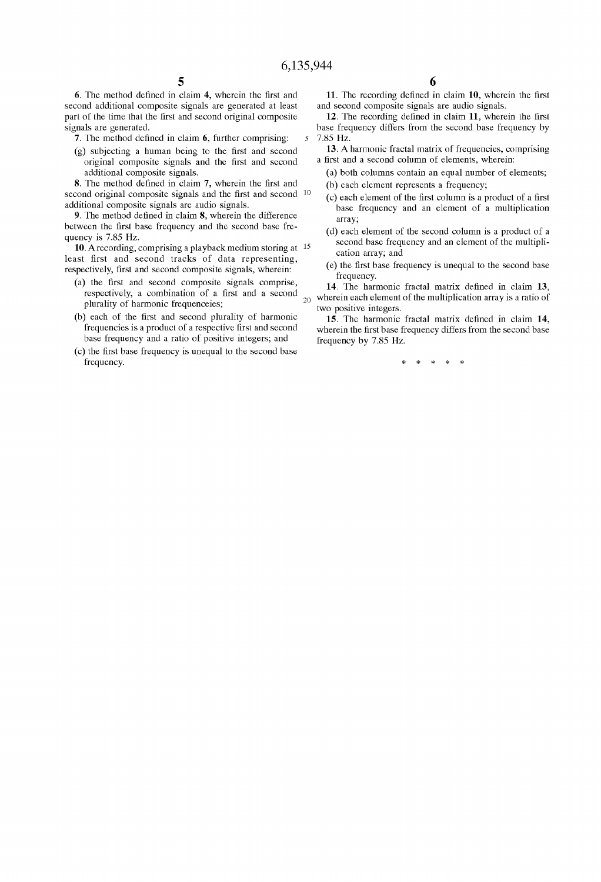$\mathcal{L}$ 

6. The method defined in claim 4, wherein the first and second additional composite signals are generated at least part of the time that the first and second original composite signals are generated.

7. The method defined in claim 6, further comprising:

(g) Subjecting a human being to the first and Second original composite signals and the first and Second additional composite signals.

8. The method defined in claim 7, wherein the first and second original composite signals and the first and second  $10$ additional composite signals are audio signals.

9. The method defined in claim 8, wherein the difference between the first base frequency and the second base frequency is 7.85 Hz.

10. A recording, comprising a playback medium storing at <sup>15</sup> least first and second tracks of data representing, respectively, first and second composite signals, wherein:

- (a) the first and Second composite signals comprise, respectively, a combination of a first and a second plurality of harmonic frequenceies,
- (b) each of the first and second plurality of harmonic frequencies is a product of a respective first and second base frequency and a ratio of positive integers, and
- (c) the first base frequency is unequal to the Second base frequency.

11. The recording defined in claim 10, wherein the first and second composite signals are audio signals.

12. The recording defined in claim 11, wherein the first base frequency differs from the Second base frequency by 7.85 HZ.

- 13. A harmonic fractal matrix of frequencies, comprising a first and a Second column of elements, wherein:
	- (a) both columns contain an equal number of elements; (b) each element represents a frequency;
	- (c) each element of the first column is a product of a first base frequency and an element of a multiplication array,
	- (d) each element of the Second column is a product of a second base frequency and an element of the multiplication array; and
	- (e) the first base frequency is unequal to the Second base frequency.

14. The harmonic fractal matrix defined in claim 13,  $_{20}$  wherein each element of the multiplication array is a ratio of two positive integers.

15. The harmonic fractal matrix defined in claim 14, wherein the first base frequency differs from the second base frequency by 7.85 Hz.

k k k k k